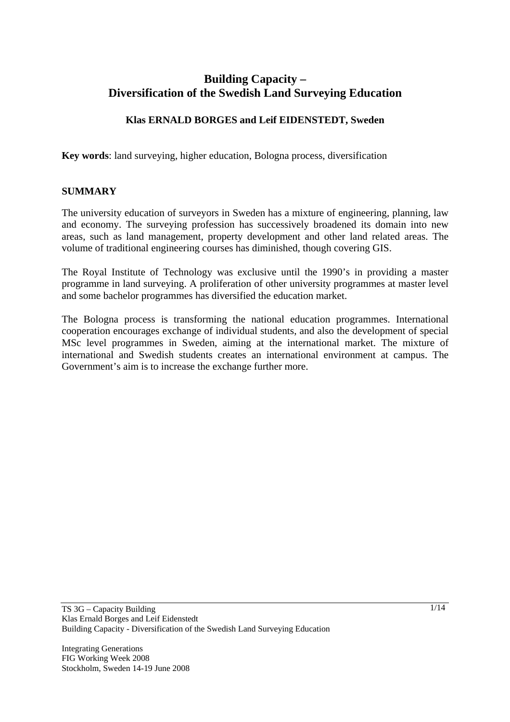# **Building Capacity – Diversification of the Swedish Land Surveying Education**

# **Klas ERNALD BORGES and Leif EIDENSTEDT, Sweden**

**Key words**: land surveying, higher education, Bologna process, diversification

## **SUMMARY**

The university education of surveyors in Sweden has a mixture of engineering, planning, law and economy. The surveying profession has successively broadened its domain into new areas, such as land management, property development and other land related areas. The volume of traditional engineering courses has diminished, though covering GIS.

The Royal Institute of Technology was exclusive until the 1990's in providing a master programme in land surveying. A proliferation of other university programmes at master level and some bachelor programmes has diversified the education market.

The Bologna process is transforming the national education programmes. International cooperation encourages exchange of individual students, and also the development of special MSc level programmes in Sweden, aiming at the international market. The mixture of international and Swedish students creates an international environment at campus. The Government's aim is to increase the exchange further more.

Integrating Generations FIG Working Week 2008 Stockholm, Sweden 14-19 June 2008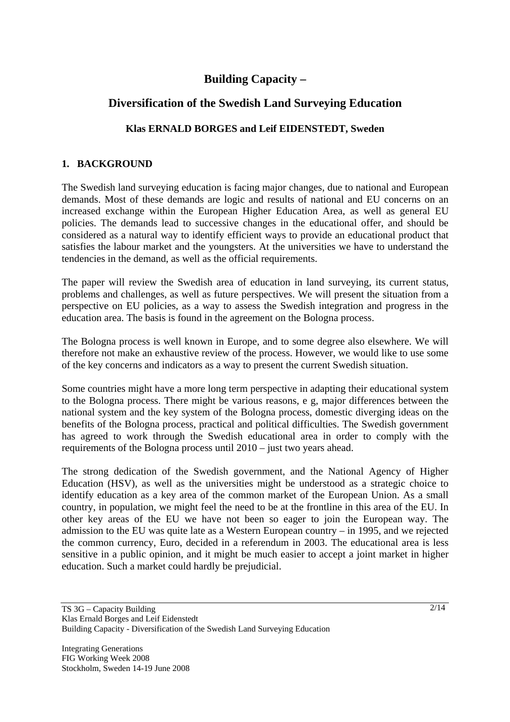# **Building Capacity –**

# **Diversification of the Swedish Land Surveying Education**

# **Klas ERNALD BORGES and Leif EIDENSTEDT, Sweden**

# **1. BACKGROUND**

The Swedish land surveying education is facing major changes, due to national and European demands. Most of these demands are logic and results of national and EU concerns on an increased exchange within the European Higher Education Area, as well as general EU policies. The demands lead to successive changes in the educational offer, and should be considered as a natural way to identify efficient ways to provide an educational product that satisfies the labour market and the youngsters. At the universities we have to understand the tendencies in the demand, as well as the official requirements.

The paper will review the Swedish area of education in land surveying, its current status, problems and challenges, as well as future perspectives. We will present the situation from a perspective on EU policies, as a way to assess the Swedish integration and progress in the education area. The basis is found in the agreement on the Bologna process.

The Bologna process is well known in Europe, and to some degree also elsewhere. We will therefore not make an exhaustive review of the process. However, we would like to use some of the key concerns and indicators as a way to present the current Swedish situation.

Some countries might have a more long term perspective in adapting their educational system to the Bologna process. There might be various reasons, e g, major differences between the national system and the key system of the Bologna process, domestic diverging ideas on the benefits of the Bologna process, practical and political difficulties. The Swedish government has agreed to work through the Swedish educational area in order to comply with the requirements of the Bologna process until 2010 – just two years ahead.

The strong dedication of the Swedish government, and the National Agency of Higher Education (HSV), as well as the universities might be understood as a strategic choice to identify education as a key area of the common market of the European Union. As a small country, in population, we might feel the need to be at the frontline in this area of the EU. In other key areas of the EU we have not been so eager to join the European way. The admission to the EU was quite late as a Western European country – in 1995, and we rejected the common currency, Euro, decided in a referendum in 2003. The educational area is less sensitive in a public opinion, and it might be much easier to accept a joint market in higher education. Such a market could hardly be prejudicial.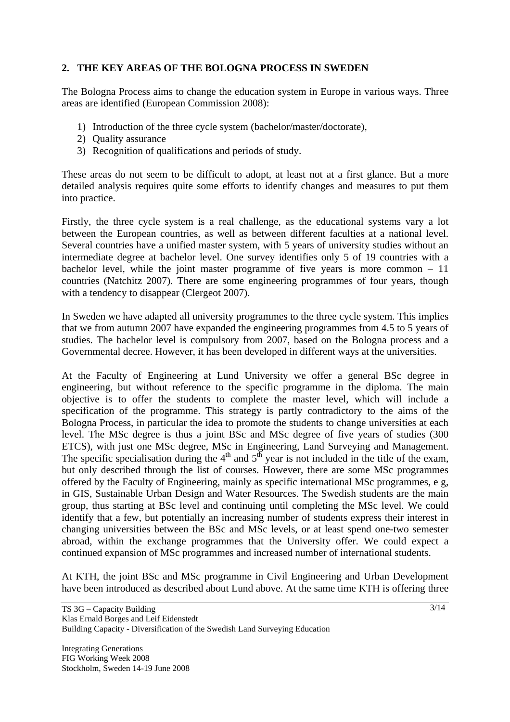# **2. THE KEY AREAS OF THE BOLOGNA PROCESS IN SWEDEN**

The Bologna Process aims to change the education system in Europe in various ways. Three areas are identified (European Commission 2008):

- 1) Introduction of the three cycle system (bachelor/master/doctorate),
- 2) Quality assurance
- 3) Recognition of qualifications and periods of study.

These areas do not seem to be difficult to adopt, at least not at a first glance. But a more detailed analysis requires quite some efforts to identify changes and measures to put them into practice.

Firstly, the three cycle system is a real challenge, as the educational systems vary a lot between the European countries, as well as between different faculties at a national level. Several countries have a unified master system, with 5 years of university studies without an intermediate degree at bachelor level. One survey identifies only 5 of 19 countries with a bachelor level, while the joint master programme of five years is more common – 11 countries (Natchitz 2007). There are some engineering programmes of four years, though with a tendency to disappear (Clergeot 2007).

In Sweden we have adapted all university programmes to the three cycle system. This implies that we from autumn 2007 have expanded the engineering programmes from 4.5 to 5 years of studies. The bachelor level is compulsory from 2007, based on the Bologna process and a Governmental decree. However, it has been developed in different ways at the universities.

At the Faculty of Engineering at Lund University we offer a general BSc degree in engineering, but without reference to the specific programme in the diploma. The main objective is to offer the students to complete the master level, which will include a specification of the programme. This strategy is partly contradictory to the aims of the Bologna Process, in particular the idea to promote the students to change universities at each level. The MSc degree is thus a joint BSc and MSc degree of five years of studies (300 ETCS), with just one MSc degree, MSc in Engineering, Land Surveying and Management. The specific specialisation during the  $4<sup>th</sup>$  and  $5<sup>th</sup>$  year is not included in the title of the exam, but only described through the list of courses. However, there are some MSc programmes offered by the Faculty of Engineering, mainly as specific international MSc programmes, e g, in GIS, Sustainable Urban Design and Water Resources. The Swedish students are the main group, thus starting at BSc level and continuing until completing the MSc level. We could identify that a few, but potentially an increasing number of students express their interest in changing universities between the BSc and MSc levels, or at least spend one-two semester abroad, within the exchange programmes that the University offer. We could expect a continued expansion of MSc programmes and increased number of international students.

At KTH, the joint BSc and MSc programme in Civil Engineering and Urban Development have been introduced as described about Lund above. At the same time KTH is offering three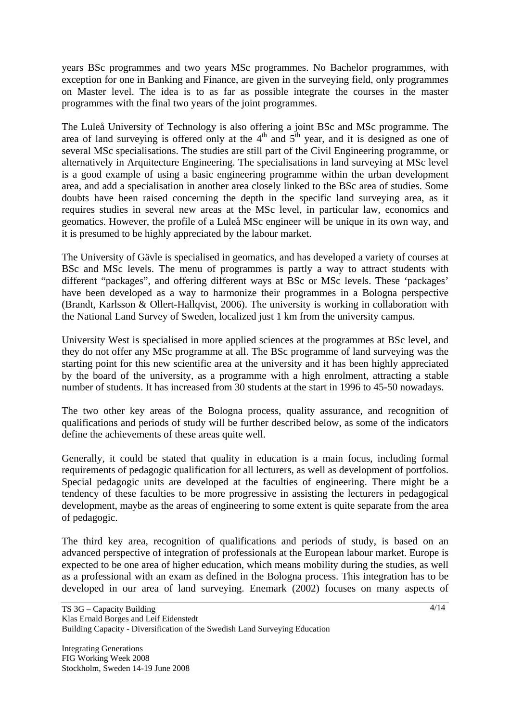years BSc programmes and two years MSc programmes. No Bachelor programmes, with exception for one in Banking and Finance, are given in the surveying field, only programmes on Master level. The idea is to as far as possible integrate the courses in the master programmes with the final two years of the joint programmes.

The Luleå University of Technology is also offering a joint BSc and MSc programme. The area of land surveying is offered only at the  $4<sup>th</sup>$  and  $5<sup>th</sup>$  year, and it is designed as one of several MSc specialisations. The studies are still part of the Civil Engineering programme, or alternatively in Arquitecture Engineering. The specialisations in land surveying at MSc level is a good example of using a basic engineering programme within the urban development area, and add a specialisation in another area closely linked to the BSc area of studies. Some doubts have been raised concerning the depth in the specific land surveying area, as it requires studies in several new areas at the MSc level, in particular law, economics and geomatics. However, the profile of a Luleå MSc engineer will be unique in its own way, and it is presumed to be highly appreciated by the labour market.

The University of Gävle is specialised in geomatics, and has developed a variety of courses at BSc and MSc levels. The menu of programmes is partly a way to attract students with different "packages", and offering different ways at BSc or MSc levels. These 'packages' have been developed as a way to harmonize their programmes in a Bologna perspective (Brandt, Karlsson & Ollert-Hallqvist, 2006). The university is working in collaboration with the National Land Survey of Sweden, localized just 1 km from the university campus.

University West is specialised in more applied sciences at the programmes at BSc level, and they do not offer any MSc programme at all. The BSc programme of land surveying was the starting point for this new scientific area at the university and it has been highly appreciated by the board of the university, as a programme with a high enrolment, attracting a stable number of students. It has increased from 30 students at the start in 1996 to 45-50 nowadays.

The two other key areas of the Bologna process, quality assurance, and recognition of qualifications and periods of study will be further described below, as some of the indicators define the achievements of these areas quite well.

Generally, it could be stated that quality in education is a main focus, including formal requirements of pedagogic qualification for all lecturers, as well as development of portfolios. Special pedagogic units are developed at the faculties of engineering. There might be a tendency of these faculties to be more progressive in assisting the lecturers in pedagogical development, maybe as the areas of engineering to some extent is quite separate from the area of pedagogic.

The third key area, recognition of qualifications and periods of study, is based on an advanced perspective of integration of professionals at the European labour market. Europe is expected to be one area of higher education, which means mobility during the studies, as well as a professional with an exam as defined in the Bologna process. This integration has to be developed in our area of land surveying. Enemark (2002) focuses on many aspects of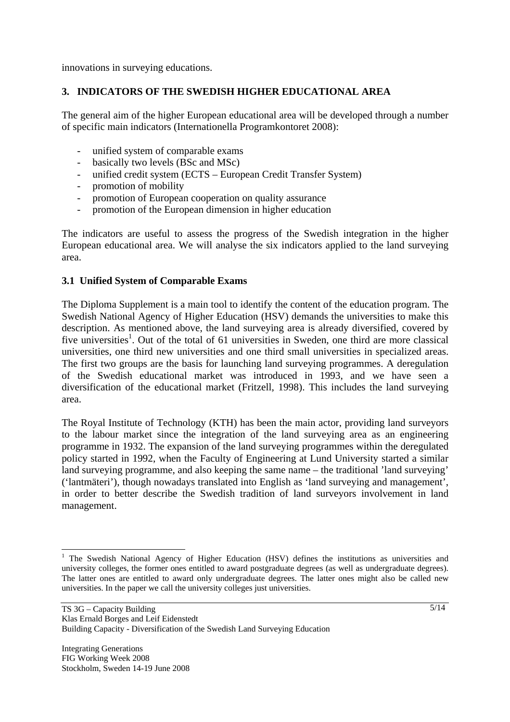innovations in surveying educations.

# **3. INDICATORS OF THE SWEDISH HIGHER EDUCATIONAL AREA**

The general aim of the higher European educational area will be developed through a number of specific main indicators (Internationella Programkontoret 2008):

- unified system of comparable exams
- basically two levels (BSc and MSc)
- unified credit system (ECTS European Credit Transfer System)
- promotion of mobility
- promotion of European cooperation on quality assurance
- promotion of the European dimension in higher education

The indicators are useful to assess the progress of the Swedish integration in the higher European educational area. We will analyse the six indicators applied to the land surveying area.

## **3.1 Unified System of Comparable Exams**

The Diploma Supplement is a main tool to identify the content of the education program. The Swedish National Agency of Higher Education (HSV) demands the universities to make this description. As mentioned above, the land surveying area is already diversified, covered by five universities<sup>1</sup>. Out of the total of 61 universities in Sweden, one third are more classical universities, one third new universities and one third small universities in specialized areas. The first two groups are the basis for launching land surveying programmes. A deregulation of the Swedish educational market was introduced in 1993, and we have seen a diversification of the educational market (Fritzell, 1998). This includes the land surveying area.

The Royal Institute of Technology (KTH) has been the main actor, providing land surveyors to the labour market since the integration of the land surveying area as an engineering programme in 1932. The expansion of the land surveying programmes within the deregulated policy started in 1992, when the Faculty of Engineering at Lund University started a similar land surveying programme, and also keeping the same name – the traditional 'land surveying' ('lantmäteri'), though nowadays translated into English as 'land surveying and management', in order to better describe the Swedish tradition of land surveyors involvement in land management.

 $\overline{\phantom{a}}$ 

<sup>&</sup>lt;sup>1</sup> The Swedish National Agency of Higher Education (HSV) defines the institutions as universities and university colleges, the former ones entitled to award postgraduate degrees (as well as undergraduate degrees). The latter ones are entitled to award only undergraduate degrees. The latter ones might also be called new universities. In the paper we call the university colleges just universities.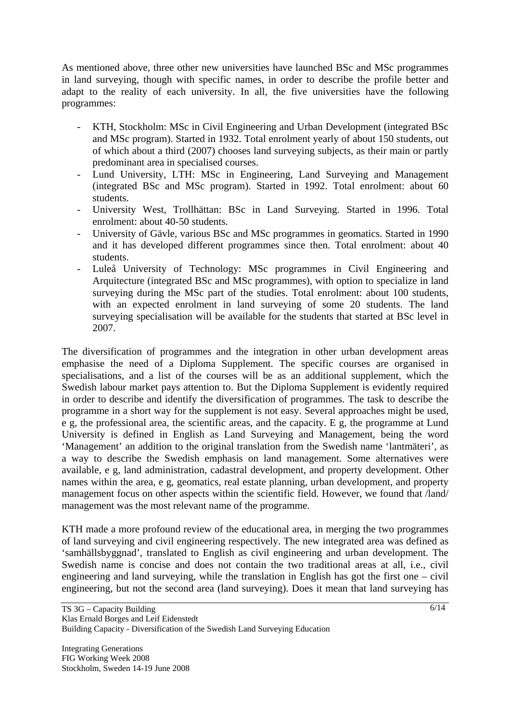As mentioned above, three other new universities have launched BSc and MSc programmes in land surveying, though with specific names, in order to describe the profile better and adapt to the reality of each university. In all, the five universities have the following programmes:

- KTH, Stockholm: MSc in Civil Engineering and Urban Development (integrated BSc and MSc program). Started in 1932. Total enrolment yearly of about 150 students, out of which about a third (2007) chooses land surveying subjects, as their main or partly predominant area in specialised courses.
- Lund University, LTH: MSc in Engineering, Land Surveying and Management (integrated BSc and MSc program). Started in 1992. Total enrolment: about 60 students.
- University West, Trollhättan: BSc in Land Surveying. Started in 1996. Total enrolment: about 40-50 students.
- University of Gävle, various BSc and MSc programmes in geomatics. Started in 1990 and it has developed different programmes since then. Total enrolment: about 40 students.
- Luleå University of Technology: MSc programmes in Civil Engineering and Arquitecture (integrated BSc and MSc programmes), with option to specialize in land surveying during the MSc part of the studies. Total enrolment: about 100 students, with an expected enrolment in land surveying of some 20 students. The land surveying specialisation will be available for the students that started at BSc level in 2007.

The diversification of programmes and the integration in other urban development areas emphasise the need of a Diploma Supplement. The specific courses are organised in specialisations, and a list of the courses will be as an additional supplement, which the Swedish labour market pays attention to. But the Diploma Supplement is evidently required in order to describe and identify the diversification of programmes. The task to describe the programme in a short way for the supplement is not easy. Several approaches might be used, e g, the professional area, the scientific areas, and the capacity. E g, the programme at Lund University is defined in English as Land Surveying and Management, being the word 'Management' an addition to the original translation from the Swedish name 'lantmäteri', as a way to describe the Swedish emphasis on land management. Some alternatives were available, e g, land administration, cadastral development, and property development. Other names within the area, e g, geomatics, real estate planning, urban development, and property management focus on other aspects within the scientific field. However, we found that /land/ management was the most relevant name of the programme.

KTH made a more profound review of the educational area, in merging the two programmes of land surveying and civil engineering respectively. The new integrated area was defined as 'samhällsbyggnad', translated to English as civil engineering and urban development. The Swedish name is concise and does not contain the two traditional areas at all, i.e., civil engineering and land surveying, while the translation in English has got the first one – civil engineering, but not the second area (land surveying). Does it mean that land surveying has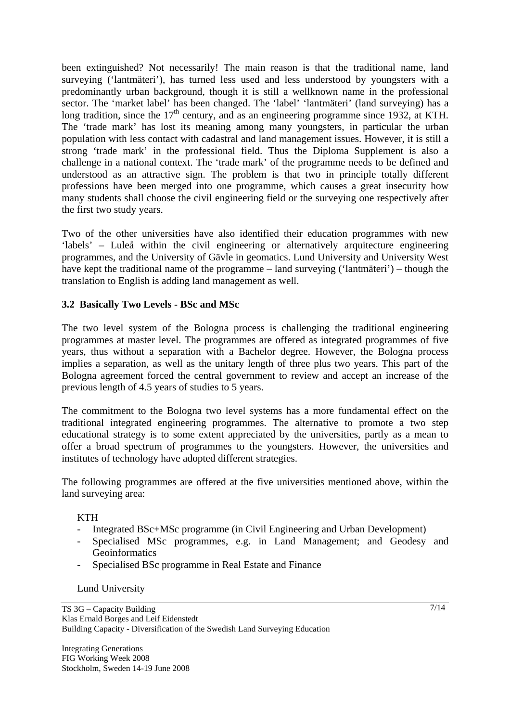been extinguished? Not necessarily! The main reason is that the traditional name, land surveying ('lantmäteri'), has turned less used and less understood by youngsters with a predominantly urban background, though it is still a wellknown name in the professional sector. The 'market label' has been changed. The 'label' 'lantmäteri' (land surveying) has a long tradition, since the  $17<sup>th</sup>$  century, and as an engineering programme since 1932, at KTH. The 'trade mark' has lost its meaning among many youngsters, in particular the urban population with less contact with cadastral and land management issues. However, it is still a strong 'trade mark' in the professional field. Thus the Diploma Supplement is also a challenge in a national context. The 'trade mark' of the programme needs to be defined and understood as an attractive sign. The problem is that two in principle totally different professions have been merged into one programme, which causes a great insecurity how many students shall choose the civil engineering field or the surveying one respectively after the first two study years.

Two of the other universities have also identified their education programmes with new 'labels' – Luleå within the civil engineering or alternatively arquitecture engineering programmes, and the University of Gävle in geomatics. Lund University and University West have kept the traditional name of the programme – land surveying ('lantmäteri') – though the translation to English is adding land management as well.

## **3.2 Basically Two Levels - BSc and MSc**

The two level system of the Bologna process is challenging the traditional engineering programmes at master level. The programmes are offered as integrated programmes of five years, thus without a separation with a Bachelor degree. However, the Bologna process implies a separation, as well as the unitary length of three plus two years. This part of the Bologna agreement forced the central government to review and accept an increase of the previous length of 4.5 years of studies to 5 years.

The commitment to the Bologna two level systems has a more fundamental effect on the traditional integrated engineering programmes. The alternative to promote a two step educational strategy is to some extent appreciated by the universities, partly as a mean to offer a broad spectrum of programmes to the youngsters. However, the universities and institutes of technology have adopted different strategies.

The following programmes are offered at the five universities mentioned above, within the land surveying area:

## **KTH**

- Integrated BSc+MSc programme (in Civil Engineering and Urban Development)
- Specialised MSc programmes, e.g. in Land Management; and Geodesy and Geoinformatics
- Specialised BSc programme in Real Estate and Finance

#### Lund University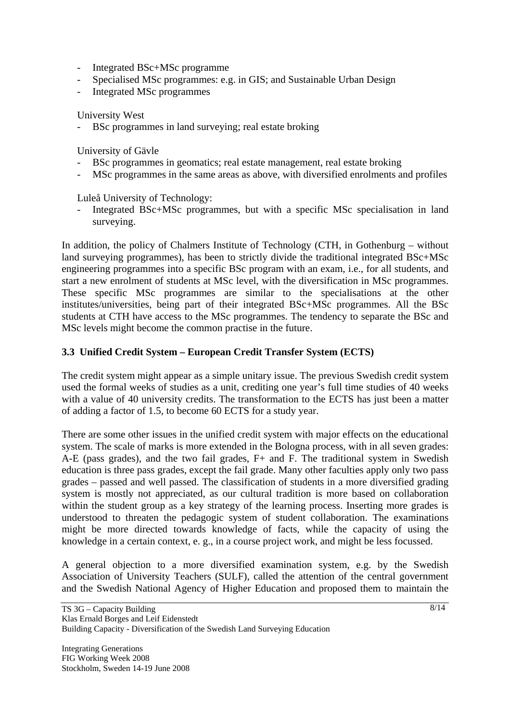- Integrated BSc+MSc programme
- Specialised MSc programmes: e.g. in GIS; and Sustainable Urban Design
- Integrated MSc programmes

University West

- BSc programmes in land surveying; real estate broking

University of Gävle

- BSc programmes in geomatics; real estate management, real estate broking
- MSc programmes in the same areas as above, with diversified enrolments and profiles

Luleå University of Technology:

Integrated BSc+MSc programmes, but with a specific MSc specialisation in land surveying.

In addition, the policy of Chalmers Institute of Technology (CTH, in Gothenburg – without land surveying programmes), has been to strictly divide the traditional integrated BSc+MSc engineering programmes into a specific BSc program with an exam, i.e., for all students, and start a new enrolment of students at MSc level, with the diversification in MSc programmes. These specific MSc programmes are similar to the specialisations at the other institutes/universities, being part of their integrated BSc+MSc programmes. All the BSc students at CTH have access to the MSc programmes. The tendency to separate the BSc and MSc levels might become the common practise in the future.

## **3.3 Unified Credit System – European Credit Transfer System (ECTS)**

The credit system might appear as a simple unitary issue. The previous Swedish credit system used the formal weeks of studies as a unit, crediting one year's full time studies of 40 weeks with a value of 40 university credits. The transformation to the ECTS has just been a matter of adding a factor of 1.5, to become 60 ECTS for a study year.

There are some other issues in the unified credit system with major effects on the educational system. The scale of marks is more extended in the Bologna process, with in all seven grades: A-E (pass grades), and the two fail grades, F+ and F. The traditional system in Swedish education is three pass grades, except the fail grade. Many other faculties apply only two pass grades – passed and well passed. The classification of students in a more diversified grading system is mostly not appreciated, as our cultural tradition is more based on collaboration within the student group as a key strategy of the learning process. Inserting more grades is understood to threaten the pedagogic system of student collaboration. The examinations might be more directed towards knowledge of facts, while the capacity of using the knowledge in a certain context, e. g., in a course project work, and might be less focussed.

A general objection to a more diversified examination system, e.g. by the Swedish Association of University Teachers (SULF), called the attention of the central government and the Swedish National Agency of Higher Education and proposed them to maintain the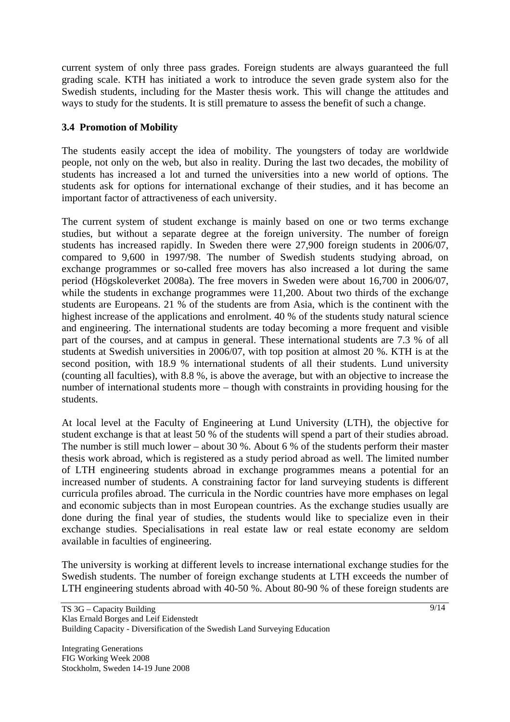current system of only three pass grades. Foreign students are always guaranteed the full grading scale. KTH has initiated a work to introduce the seven grade system also for the Swedish students, including for the Master thesis work. This will change the attitudes and ways to study for the students. It is still premature to assess the benefit of such a change.

# **3.4 Promotion of Mobility**

The students easily accept the idea of mobility. The youngsters of today are worldwide people, not only on the web, but also in reality. During the last two decades, the mobility of students has increased a lot and turned the universities into a new world of options. The students ask for options for international exchange of their studies, and it has become an important factor of attractiveness of each university.

The current system of student exchange is mainly based on one or two terms exchange studies, but without a separate degree at the foreign university. The number of foreign students has increased rapidly. In Sweden there were 27,900 foreign students in 2006/07, compared to 9,600 in 1997/98. The number of Swedish students studying abroad, on exchange programmes or so-called free movers has also increased a lot during the same period (Högskoleverket 2008a). The free movers in Sweden were about 16,700 in 2006/07, while the students in exchange programmes were 11,200. About two thirds of the exchange students are Europeans. 21 % of the students are from Asia, which is the continent with the highest increase of the applications and enrolment. 40 % of the students study natural science and engineering. The international students are today becoming a more frequent and visible part of the courses, and at campus in general. These international students are 7.3 % of all students at Swedish universities in 2006/07, with top position at almost 20 %. KTH is at the second position, with 18.9 % international students of all their students. Lund university (counting all faculties), with 8.8 %, is above the average, but with an objective to increase the number of international students more – though with constraints in providing housing for the students.

At local level at the Faculty of Engineering at Lund University (LTH), the objective for student exchange is that at least 50 % of the students will spend a part of their studies abroad. The number is still much lower – about 30 %. About 6 % of the students perform their master thesis work abroad, which is registered as a study period abroad as well. The limited number of LTH engineering students abroad in exchange programmes means a potential for an increased number of students. A constraining factor for land surveying students is different curricula profiles abroad. The curricula in the Nordic countries have more emphases on legal and economic subjects than in most European countries. As the exchange studies usually are done during the final year of studies, the students would like to specialize even in their exchange studies. Specialisations in real estate law or real estate economy are seldom available in faculties of engineering.

The university is working at different levels to increase international exchange studies for the Swedish students. The number of foreign exchange students at LTH exceeds the number of LTH engineering students abroad with 40-50 %. About 80-90 % of these foreign students are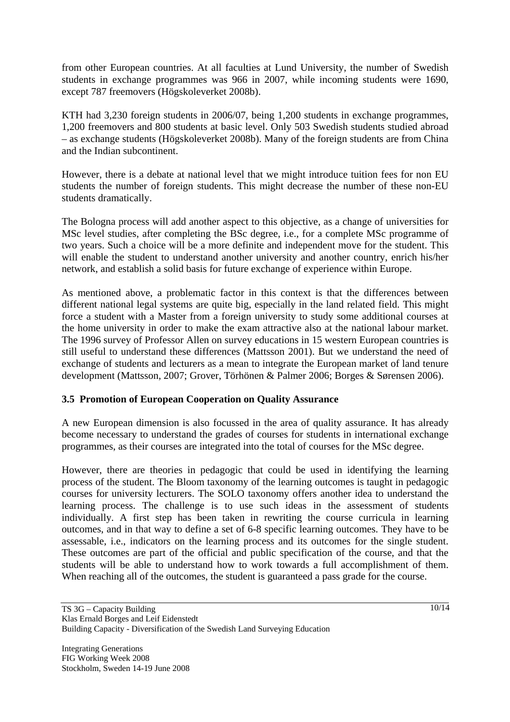from other European countries. At all faculties at Lund University, the number of Swedish students in exchange programmes was 966 in 2007, while incoming students were 1690, except 787 freemovers (Högskoleverket 2008b).

KTH had 3,230 foreign students in 2006/07, being 1,200 students in exchange programmes, 1,200 freemovers and 800 students at basic level. Only 503 Swedish students studied abroad – as exchange students (Högskoleverket 2008b). Many of the foreign students are from China and the Indian subcontinent.

However, there is a debate at national level that we might introduce tuition fees for non EU students the number of foreign students. This might decrease the number of these non-EU students dramatically.

The Bologna process will add another aspect to this objective, as a change of universities for MSc level studies, after completing the BSc degree, i.e., for a complete MSc programme of two years. Such a choice will be a more definite and independent move for the student. This will enable the student to understand another university and another country, enrich his/her network, and establish a solid basis for future exchange of experience within Europe.

As mentioned above, a problematic factor in this context is that the differences between different national legal systems are quite big, especially in the land related field. This might force a student with a Master from a foreign university to study some additional courses at the home university in order to make the exam attractive also at the national labour market. The 1996 survey of Professor Allen on survey educations in 15 western European countries is still useful to understand these differences (Mattsson 2001). But we understand the need of exchange of students and lecturers as a mean to integrate the European market of land tenure development (Mattsson, 2007; Grover, Törhönen & Palmer 2006; Borges & Sørensen 2006).

## **3.5 Promotion of European Cooperation on Quality Assurance**

A new European dimension is also focussed in the area of quality assurance. It has already become necessary to understand the grades of courses for students in international exchange programmes, as their courses are integrated into the total of courses for the MSc degree.

However, there are theories in pedagogic that could be used in identifying the learning process of the student. The Bloom taxonomy of the learning outcomes is taught in pedagogic courses for university lecturers. The SOLO taxonomy offers another idea to understand the learning process. The challenge is to use such ideas in the assessment of students individually. A first step has been taken in rewriting the course curricula in learning outcomes, and in that way to define a set of 6-8 specific learning outcomes. They have to be assessable, i.e., indicators on the learning process and its outcomes for the single student. These outcomes are part of the official and public specification of the course, and that the students will be able to understand how to work towards a full accomplishment of them. When reaching all of the outcomes, the student is guaranteed a pass grade for the course.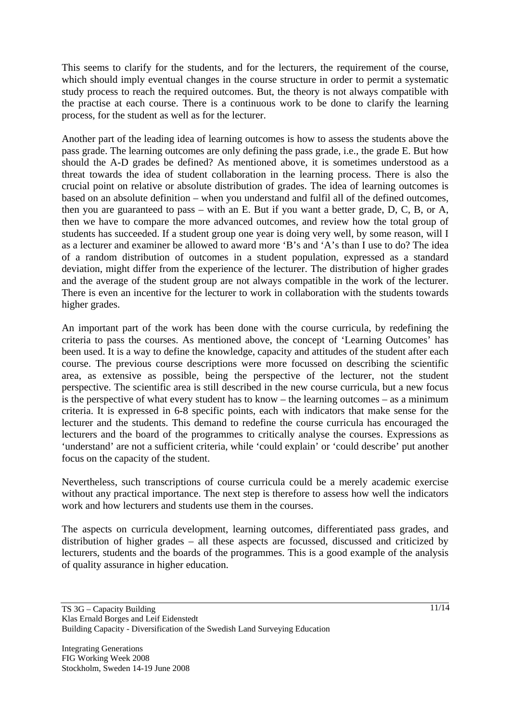This seems to clarify for the students, and for the lecturers, the requirement of the course, which should imply eventual changes in the course structure in order to permit a systematic study process to reach the required outcomes. But, the theory is not always compatible with the practise at each course. There is a continuous work to be done to clarify the learning process, for the student as well as for the lecturer.

Another part of the leading idea of learning outcomes is how to assess the students above the pass grade. The learning outcomes are only defining the pass grade, i.e., the grade E. But how should the A-D grades be defined? As mentioned above, it is sometimes understood as a threat towards the idea of student collaboration in the learning process. There is also the crucial point on relative or absolute distribution of grades. The idea of learning outcomes is based on an absolute definition – when you understand and fulfil all of the defined outcomes, then you are guaranteed to pass – with an E. But if you want a better grade, D, C, B, or A, then we have to compare the more advanced outcomes, and review how the total group of students has succeeded. If a student group one year is doing very well, by some reason, will I as a lecturer and examiner be allowed to award more 'B's and 'A's than I use to do? The idea of a random distribution of outcomes in a student population, expressed as a standard deviation, might differ from the experience of the lecturer. The distribution of higher grades and the average of the student group are not always compatible in the work of the lecturer. There is even an incentive for the lecturer to work in collaboration with the students towards higher grades.

An important part of the work has been done with the course curricula, by redefining the criteria to pass the courses. As mentioned above, the concept of 'Learning Outcomes' has been used. It is a way to define the knowledge, capacity and attitudes of the student after each course. The previous course descriptions were more focussed on describing the scientific area, as extensive as possible, being the perspective of the lecturer, not the student perspective. The scientific area is still described in the new course curricula, but a new focus is the perspective of what every student has to know – the learning outcomes – as a minimum criteria. It is expressed in 6-8 specific points, each with indicators that make sense for the lecturer and the students. This demand to redefine the course curricula has encouraged the lecturers and the board of the programmes to critically analyse the courses. Expressions as 'understand' are not a sufficient criteria, while 'could explain' or 'could describe' put another focus on the capacity of the student.

Nevertheless, such transcriptions of course curricula could be a merely academic exercise without any practical importance. The next step is therefore to assess how well the indicators work and how lecturers and students use them in the courses.

The aspects on curricula development, learning outcomes, differentiated pass grades, and distribution of higher grades – all these aspects are focussed, discussed and criticized by lecturers, students and the boards of the programmes. This is a good example of the analysis of quality assurance in higher education.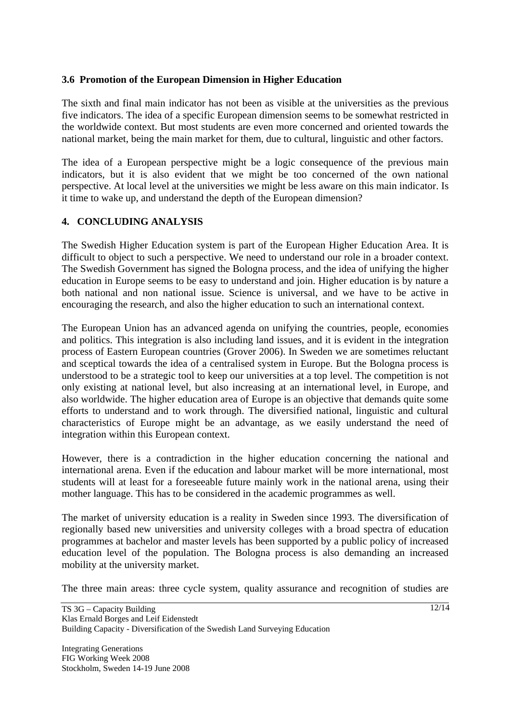#### **3.6 Promotion of the European Dimension in Higher Education**

The sixth and final main indicator has not been as visible at the universities as the previous five indicators. The idea of a specific European dimension seems to be somewhat restricted in the worldwide context. But most students are even more concerned and oriented towards the national market, being the main market for them, due to cultural, linguistic and other factors.

The idea of a European perspective might be a logic consequence of the previous main indicators, but it is also evident that we might be too concerned of the own national perspective. At local level at the universities we might be less aware on this main indicator. Is it time to wake up, and understand the depth of the European dimension?

## **4. CONCLUDING ANALYSIS**

The Swedish Higher Education system is part of the European Higher Education Area. It is difficult to object to such a perspective. We need to understand our role in a broader context. The Swedish Government has signed the Bologna process, and the idea of unifying the higher education in Europe seems to be easy to understand and join. Higher education is by nature a both national and non national issue. Science is universal, and we have to be active in encouraging the research, and also the higher education to such an international context.

The European Union has an advanced agenda on unifying the countries, people, economies and politics. This integration is also including land issues, and it is evident in the integration process of Eastern European countries (Grover 2006). In Sweden we are sometimes reluctant and sceptical towards the idea of a centralised system in Europe. But the Bologna process is understood to be a strategic tool to keep our universities at a top level. The competition is not only existing at national level, but also increasing at an international level, in Europe, and also worldwide. The higher education area of Europe is an objective that demands quite some efforts to understand and to work through. The diversified national, linguistic and cultural characteristics of Europe might be an advantage, as we easily understand the need of integration within this European context.

However, there is a contradiction in the higher education concerning the national and international arena. Even if the education and labour market will be more international, most students will at least for a foreseeable future mainly work in the national arena, using their mother language. This has to be considered in the academic programmes as well.

The market of university education is a reality in Sweden since 1993. The diversification of regionally based new universities and university colleges with a broad spectra of education programmes at bachelor and master levels has been supported by a public policy of increased education level of the population. The Bologna process is also demanding an increased mobility at the university market.

The three main areas: three cycle system, quality assurance and recognition of studies are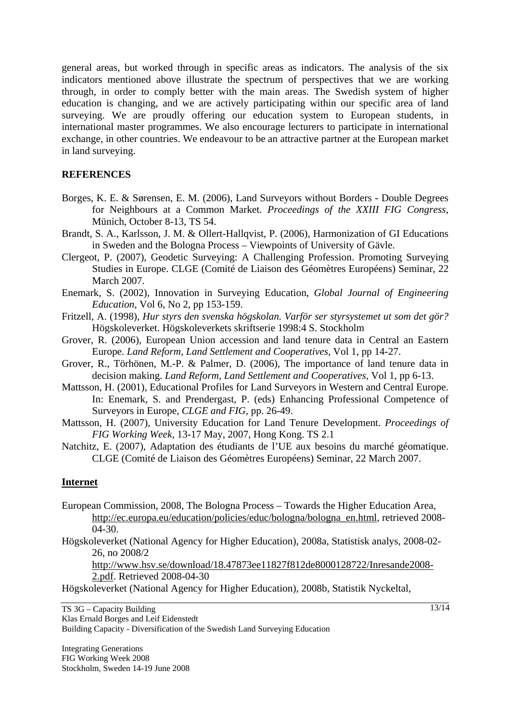general areas, but worked through in specific areas as indicators. The analysis of the six indicators mentioned above illustrate the spectrum of perspectives that we are working through, in order to comply better with the main areas. The Swedish system of higher education is changing, and we are actively participating within our specific area of land surveying. We are proudly offering our education system to European students, in international master programmes. We also encourage lecturers to participate in international exchange, in other countries. We endeavour to be an attractive partner at the European market in land surveying.

#### **REFERENCES**

- Borges, K. E. & Sørensen, E. M. (2006), Land Surveyors without Borders Double Degrees for Neighbours at a Common Market. *Proceedings of the XXIII FIG Congress*, Münich, October 8-13, TS 54.
- Brandt, S. A., Karlsson, J. M. & Ollert-Hallqvist, P. (2006), Harmonization of GI Educations in Sweden and the Bologna Process – Viewpoints of University of Gävle.
- Clergeot, P. (2007), Geodetic Surveying: A Challenging Profession. Promoting Surveying Studies in Europe. CLGE (Comité de Liaison des Géomètres Européens) Seminar, 22 March 2007.
- Enemark, S. (2002), Innovation in Surveying Education, *Global Journal of Engineering Education*, Vol 6, No 2, pp 153-159.
- Fritzell, A. (1998), *Hur styrs den svenska högskolan. Varför ser styrsystemet ut som det gör?* Högskoleverket. Högskoleverkets skriftserie 1998:4 S. Stockholm
- Grover, R. (2006), European Union accession and land tenure data in Central an Eastern Europe. *Land Reform, Land Settlement and Cooperatives*, Vol 1, pp 14-27.
- Grover, R., Törhönen, M.-P. & Palmer, D. (2006), The importance of land tenure data in decision making. *Land Reform, Land Settlement and Cooperatives*, Vol 1, pp 6-13.
- Mattsson, H. (2001), Educational Profiles for Land Surveyors in Western and Central Europe. In: Enemark, S. and Prendergast, P. (eds) Enhancing Professional Competence of Surveyors in Europe, *CLGE and FIG,* pp. 26-49.
- Mattsson, H. (2007), University Education for Land Tenure Development. *Proceedings of FIG Working Week*, 13-17 May, 2007, Hong Kong. TS 2.1

Natchitz, E. (2007), Adaptation des étudiants de l'UE aux besoins du marché géomatique. CLGE (Comité de Liaison des Géomètres Européens) Seminar, 22 March 2007.

#### **Internet**

- European Commission, 2008, The Bologna Process Towards the Higher Education Area, http://ec.europa.eu/education/policies/educ/bologna/bologna\_en.html, retrieved 2008- 04-30.
- Högskoleverket (National Agency for Higher Education), 2008a, Statistisk analys, 2008-02- 26, no 2008/2

http://www.hsv.se/download/18.47873ee11827f812de8000128722/Inresande2008- 2.pdf. Retrieved 2008-04-30

Högskoleverket (National Agency for Higher Education), 2008b, Statistik Nyckeltal,

TS 3G – Capacity Building Klas Ernald Borges and Leif Eidenstedt Building Capacity - Diversification of the Swedish Land Surveying Education

Integrating Generations FIG Working Week 2008 Stockholm, Sweden 14-19 June 2008 13/14